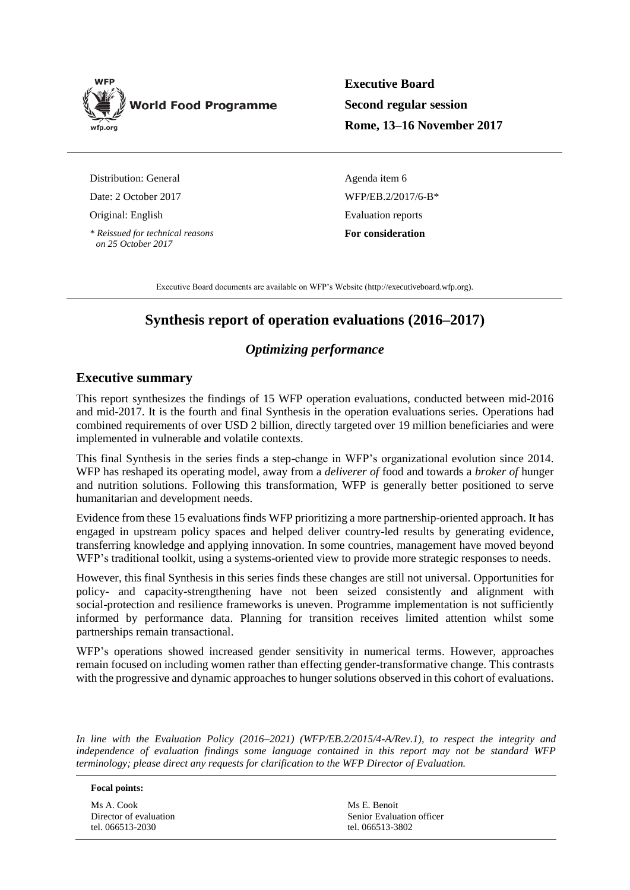

**Executive Board Second regular session Rome, 13–16 November 2017**

Distribution: General

Date: 2 October 2017

Original: English

*\* Reissued for technical reasons on 25 October 2017*

Agenda item 6 WFP/EB.2/2017/6-B\* Evaluation reports **For consideration**

Executive Board documents are available on WFP's Website [\(http://executiveboard.wfp.org\)](http://executiveboard.wfp.org/home).

# **Synthesis report of operation evaluations (2016–2017)**

## *Optimizing performance*

## **Executive summary**

This report synthesizes the findings of 15 WFP operation evaluations, conducted between mid-2016 and mid-2017. It is the fourth and final Synthesis in the operation evaluations series. Operations had combined requirements of over USD 2 billion, directly targeted over 19 million beneficiaries and were implemented in vulnerable and volatile contexts.

This final Synthesis in the series finds a step-change in WFP's organizational evolution since 2014. WFP has reshaped its operating model, away from a *deliverer of* food and towards a *broker of* hunger and nutrition solutions. Following this transformation, WFP is generally better positioned to serve humanitarian and development needs.

Evidence from these 15 evaluations finds WFP prioritizing a more partnership-oriented approach. It has engaged in upstream policy spaces and helped deliver country-led results by generating evidence, transferring knowledge and applying innovation. In some countries, management have moved beyond WFP's traditional toolkit, using a systems-oriented view to provide more strategic responses to needs.

However, this final Synthesis in this series finds these changes are still not universal. Opportunities for policy- and capacity-strengthening have not been seized consistently and alignment with social-protection and resilience frameworks is uneven. Programme implementation is not sufficiently informed by performance data. Planning for transition receives limited attention whilst some partnerships remain transactional.

WFP's operations showed increased gender sensitivity in numerical terms. However, approaches remain focused on including women rather than effecting gender-transformative change. This contrasts with the progressive and dynamic approaches to hunger solutions observed in this cohort of evaluations.

*In line with the Evaluation Policy (2016–2021) (WFP/EB.2/2015/4-A/Rev.1), to respect the integrity and independence of evaluation findings some language contained in this report may not be standard WFP terminology; please direct any requests for clarification to the WFP Director of Evaluation.*

#### **Focal points:**

Ms A. Cook Director of evaluation tel. 066513-2030

Ms E. Benoit Senior Evaluation officer tel. 066513-3802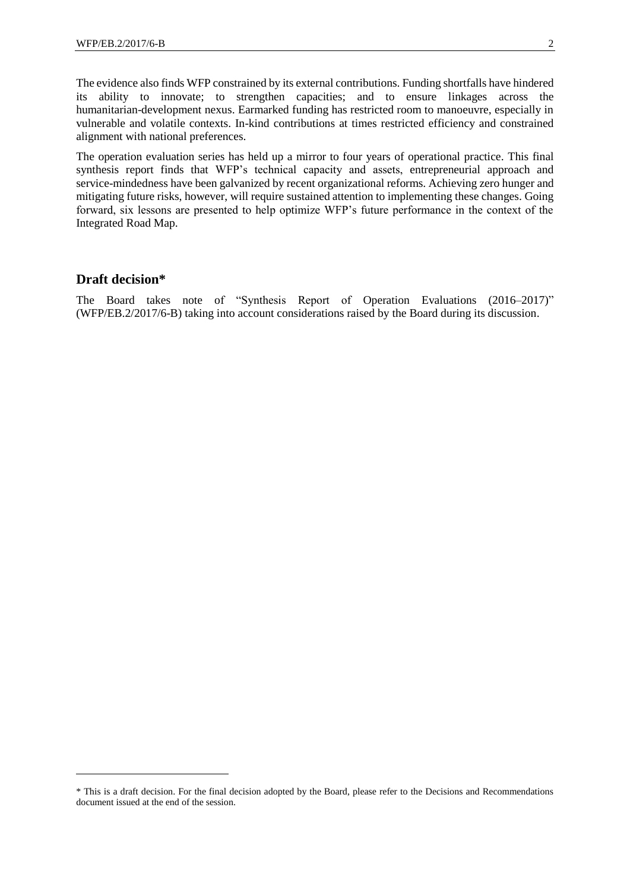The evidence also finds WFP constrained by its external contributions. Funding shortfalls have hindered its ability to innovate; to strengthen capacities; and to ensure linkages across the humanitarian-development nexus. Earmarked funding has restricted room to manoeuvre, especially in vulnerable and volatile contexts. In-kind contributions at times restricted efficiency and constrained alignment with national preferences.

The operation evaluation series has held up a mirror to four years of operational practice. This final synthesis report finds that WFP's technical capacity and assets, entrepreneurial approach and service-mindedness have been galvanized by recent organizational reforms. Achieving zero hunger and mitigating future risks, however, will require sustained attention to implementing these changes. Going forward, six lessons are presented to help optimize WFP's future performance in the context of the Integrated Road Map.

## **Draft decision\***

1

The Board takes note of "Synthesis Report of Operation Evaluations (2016–2017)" (WFP/EB.2/2017/6-B) taking into account considerations raised by the Board during its discussion.

<sup>\*</sup> This is a draft decision. For the final decision adopted by the Board, please refer to the Decisions and Recommendations document issued at the end of the session.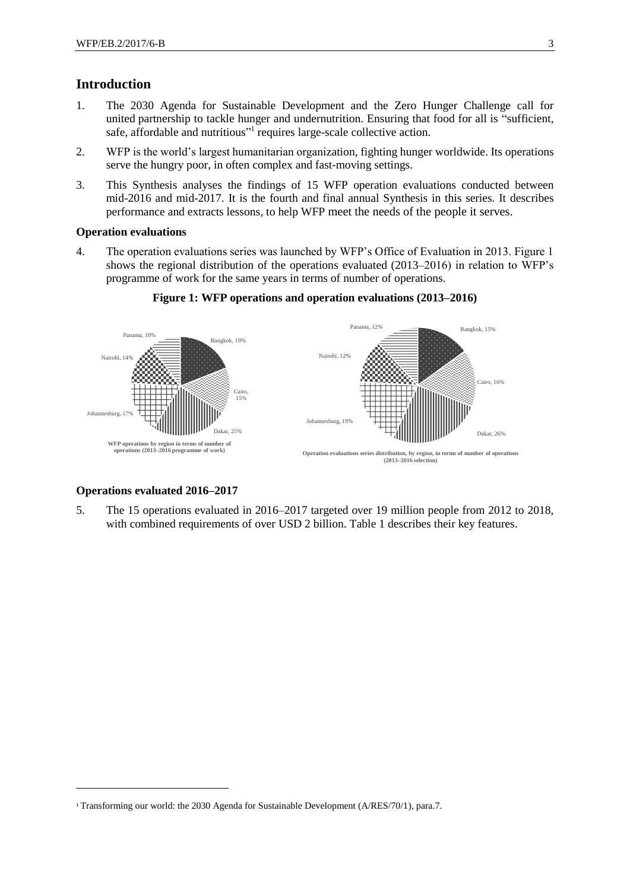## **Introduction**

- 1. The 2030 Agenda for Sustainable Development and the Zero Hunger Challenge call for united partnership to tackle hunger and undernutrition. Ensuring that food for all is "sufficient, safe, affordable and nutritious"<sup>1</sup> requires large-scale collective action.
- 2. WFP is the world's largest humanitarian organization, fighting hunger worldwide. Its operations serve the hungry poor, in often complex and fast-moving settings.
- 3. This Synthesis analyses the findings of 15 WFP operation evaluations conducted between mid-2016 and mid-2017. It is the fourth and final annual Synthesis in this series. It describes performance and extracts lessons, to help WFP meet the needs of the people it serves.

#### **Operation evaluations**

4. The operation evaluations series was launched by WFP's Office of Evaluation in 2013. Figure 1 shows the regional distribution of the operations evaluated (2013–2016) in relation to WFP's programme of work for the same years in terms of number of operations.



**Figure 1: WFP operations and operation evaluations (2013–2016)**

#### **Operations evaluated 2016–2017**

-

5. The 15 operations evaluated in 2016–2017 targeted over 19 million people from 2012 to 2018, with combined requirements of over USD 2 billion. Table 1 describes their key features.

<sup>1</sup> Transforming our world: the 2030 Agenda for Sustainable Development (A/RES/70/1), para.7.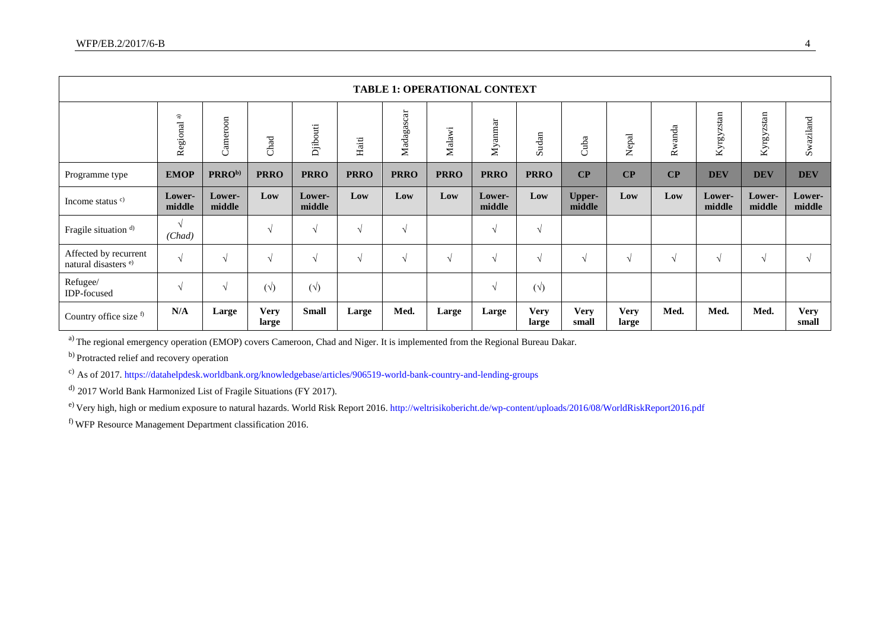|                                                          |                           |                    |                      |                  |             |               |             | <b>TABLE 1: OPERATIONAL CONTEXT</b> |                      |                         |                                   |            |                  |                  |                      |
|----------------------------------------------------------|---------------------------|--------------------|----------------------|------------------|-------------|---------------|-------------|-------------------------------------|----------------------|-------------------------|-----------------------------------|------------|------------------|------------------|----------------------|
|                                                          | $\widehat{a}$<br>Regional | Cameroon           | Chad                 | Djibouti         | Haiti       | Madagascar    | Malawi      | Myanmar                             | Sudan                | Cuba                    | Nepal                             | Rwanda     | Kyrgyzstan       | Kyrgyzstan       | Swaziland            |
| Programme type                                           | <b>EMOP</b>               | PRRO <sup>b)</sup> | <b>PRRO</b>          | <b>PRRO</b>      | <b>PRRO</b> | <b>PRRO</b>   | <b>PRRO</b> | <b>PRRO</b>                         | <b>PRRO</b>          | $\bf CP$                | $\overline{\mathbf{C}}\mathbf{P}$ | CP         | <b>DEV</b>       | <b>DEV</b>       | <b>DEV</b>           |
| Income status $c$ )                                      | Lower-<br>middle          | Lower-<br>middle   | Low                  | Lower-<br>middle | Low         | Low           | Low         | Lower-<br>middle                    | Low                  | <b>Upper-</b><br>middle | Low                               | Low        | Lower-<br>middle | Lower-<br>middle | Lower-<br>middle     |
| Fragile situation <sup>d)</sup>                          | $\sqrt{ }$<br>(Chad)      |                    | N                    | $\sqrt{ }$       | $\sqrt{ }$  | $\mathcal{N}$ |             | $\gamma$                            | $\sqrt{ }$           |                         |                                   |            |                  |                  |                      |
| Affected by recurrent<br>natural disasters <sup>e)</sup> | $\sqrt{ }$                |                    |                      | $\sqrt{ }$       | V           |               | $\sqrt{ }$  | $\sqrt{ }$                          | $\sqrt{ }$           | N                       | $\sqrt{ }$                        | $\sqrt{ }$ | $\mathcal{L}$    | $\sqrt{ }$       | $\sqrt{ }$           |
| Refugee/<br><b>IDP-focused</b>                           | $\sqrt{ }$                | N                  | $(\forall)$          | $(\forall)$      |             |               |             | $\gamma$                            | $(\sqrt{2})$         |                         |                                   |            |                  |                  |                      |
| Country office size f)                                   | N/A                       | Large              | <b>Very</b><br>large | <b>Small</b>     | Large       | Med.          | Large       | Large                               | <b>Very</b><br>large | <b>Very</b><br>small    | <b>Very</b><br>large              | Med.       | Med.             | Med.             | <b>Very</b><br>small |

<sup>a)</sup> The regional emergency operation (EMOP) covers Cameroon, Chad and Niger. It is implemented from the Regional Bureau Dakar.

<sup>b)</sup> Protracted relief and recovery operation

c) As of 2017[. https://datahelpdesk.worldbank.org/knowledgebase/articles/906519-world-bank-country-and-lending-groups](https://datahelpdesk.worldbank.org/knowledgebase/articles/906519-world-bank-country-and-lending-groups)

<sup>d)</sup> 2017 World Bank Harmonized List of Fragile Situations (FY 2017).

e) Very high, high or medium exposure to natural hazards. World Risk Report 2016.<http://weltrisikobericht.de/wp-content/uploads/2016/08/WorldRiskReport2016.pdf>

f) WFP Resource Management Department classification 2016.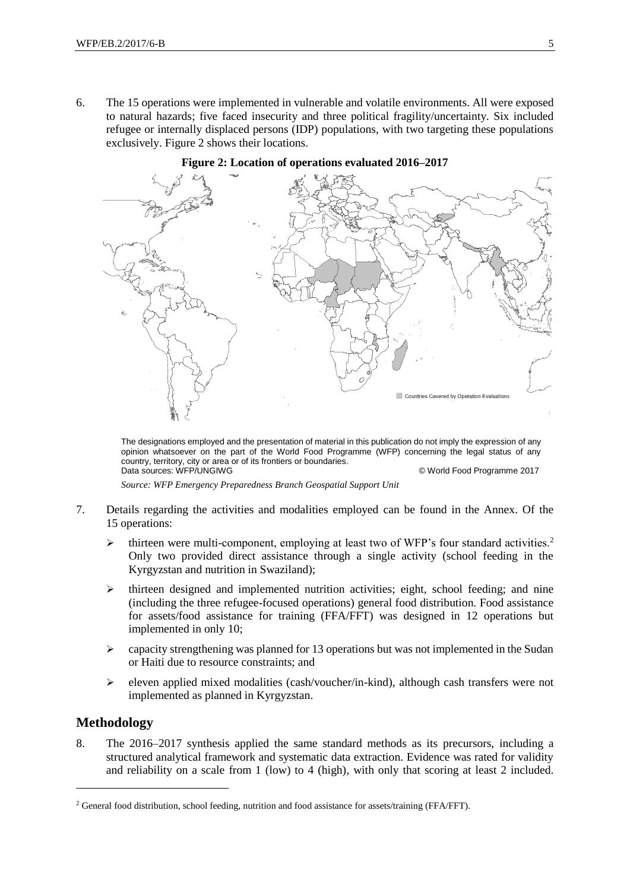6. The 15 operations were implemented in vulnerable and volatile environments. All were exposed to natural hazards; five faced insecurity and three political fragility/uncertainty. Six included refugee or internally displaced persons (IDP) populations, with two targeting these populations exclusively. Figure 2 shows their locations.





The designations employed and the presentation of material in this publication do not imply the expression of any opinion whatsoever on the part of the World Food Programme (WFP) concerning the legal status of any country, territory, city or area or of its frontiers or boundaries. Data sources: WFP/UNGIWG © World Food Programme 2017

*Source: WFP Emergency Preparedness Branch Geospatial Support Unit*

- 7. Details regarding the activities and modalities employed can be found in the Annex. Of the 15 operations:
	- $\triangleright$  thirteen were multi-component, employing at least two of WFP's four standard activities.<sup>2</sup> Only two provided direct assistance through a single activity (school feeding in the Kyrgyzstan and nutrition in Swaziland);
	- ➢ thirteen designed and implemented nutrition activities; eight, school feeding; and nine (including the three refugee-focused operations) general food distribution. Food assistance for assets/food assistance for training (FFA/FFT) was designed in 12 operations but implemented in only 10;
	- $\geq$  capacity strengthening was planned for 13 operations but was not implemented in the Sudan or Haiti due to resource constraints; and
	- $\triangleright$  eleven applied mixed modalities (cash/voucher/in-kind), although cash transfers were not implemented as planned in Kyrgyzstan.

## **Methodology**

-

8. The 2016–2017 synthesis applied the same standard methods as its precursors, including a structured analytical framework and systematic data extraction. Evidence was rated for validity and reliability on a scale from 1 (low) to 4 (high), with only that scoring at least 2 included.

<sup>2</sup> General food distribution, school feeding, nutrition and food assistance for assets/training (FFA/FFT).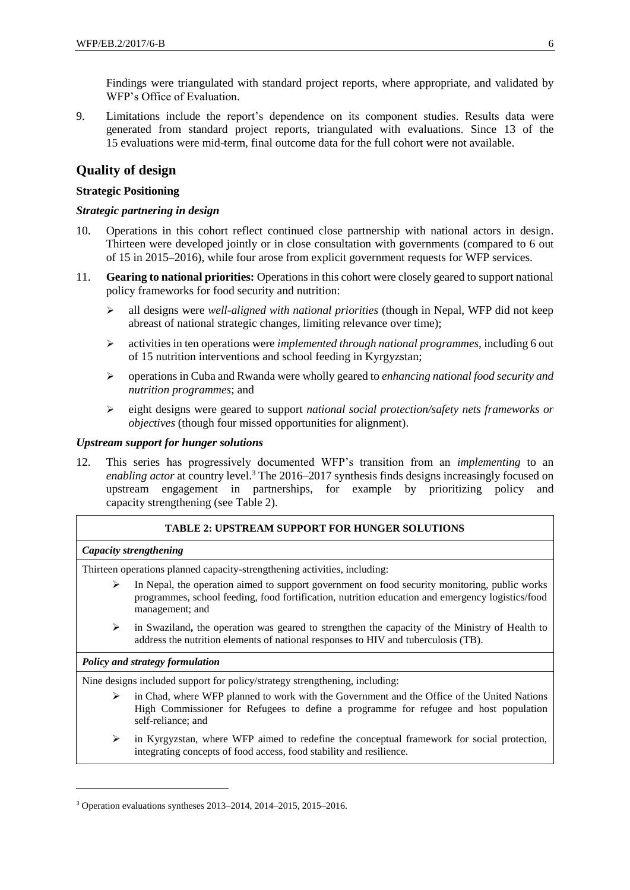Findings were triangulated with standard project reports, where appropriate, and validated by WFP's Office of Evaluation.

9. Limitations include the report's dependence on its component studies. Results data were generated from standard project reports, triangulated with evaluations. Since 13 of the 15 evaluations were mid-term, final outcome data for the full cohort were not available.

## **Quality of design**

## **Strategic Positioning**

### *Strategic partnering in design*

- 10. Operations in this cohort reflect continued close partnership with national actors in design. Thirteen were developed jointly or in close consultation with governments (compared to 6 out of 15 in 2015–2016), while four arose from explicit government requests for WFP services.
- 11. **Gearing to national priorities:** Operations in this cohort were closely geared to support national policy frameworks for food security and nutrition:
	- ➢ all designs were *well-aligned with national priorities* (though in Nepal, WFP did not keep abreast of national strategic changes, limiting relevance over time);
	- ➢ activities in ten operations were *implemented through national programmes,* including 6 out of 15 nutrition interventions and school feeding in Kyrgyzstan;
	- ➢ operations in Cuba and Rwanda were wholly geared to *enhancing national food security and nutrition programmes*; and
	- ➢ eight designs were geared to support *national social protection/safety nets frameworks or objectives* (though four missed opportunities for alignment).

#### *Upstream support for hunger solutions*

12. This series has progressively documented WFP's transition from an *implementing* to an *enabling actor* at country level.<sup>3</sup> The 2016–2017 synthesis finds designs increasingly focused on upstream engagement in partnerships, for example by prioritizing policy and capacity strengthening (see Table 2).

#### **TABLE 2: UPSTREAM SUPPORT FOR HUNGER SOLUTIONS**

#### *Capacity strengthening*

Thirteen operations planned capacity-strengthening activities, including:

- In Nepal, the operation aimed to support government on food security monitoring, public works programmes, school feeding, food fortification, nutrition education and emergency logistics/food management; and
- ➢ in Swaziland**,** the operation was geared to strengthen the capacity of the Ministry of Health to address the nutrition elements of national responses to HIV and tuberculosis (TB).

#### *Policy and strategy formulation*

-

Nine designs included support for policy/strategy strengthening, including:

- $\triangleright$  in Chad, where WFP planned to work with the Government and the Office of the United Nations High Commissioner for Refugees to define a programme for refugee and host population self-reliance; and
- $\triangleright$  in Kyrgyzstan, where WFP aimed to redefine the conceptual framework for social protection, integrating concepts of food access, food stability and resilience.

<sup>3</sup> Operation evaluations syntheses 2013–2014, 2014–2015, 2015–2016.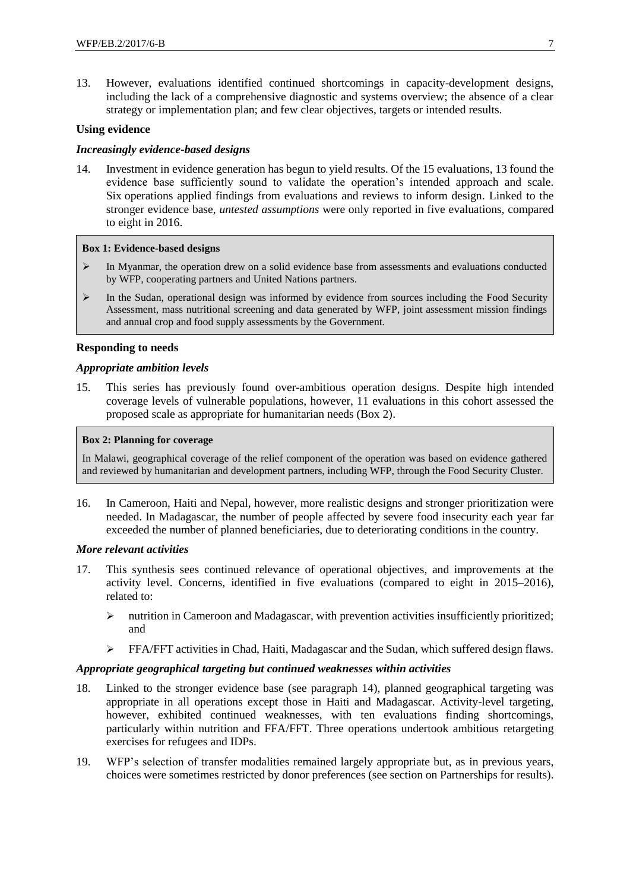13. However, evaluations identified continued shortcomings in capacity-development designs, including the lack of a comprehensive diagnostic and systems overview; the absence of a clear strategy or implementation plan; and few clear objectives, targets or intended results.

## **Using evidence**

## *Increasingly evidence-based designs*

14. Investment in evidence generation has begun to yield results. Of the 15 evaluations, 13 found the evidence base sufficiently sound to validate the operation's intended approach and scale. Six operations applied findings from evaluations and reviews to inform design. Linked to the stronger evidence base, *untested assumptions* were only reported in five evaluations, compared to eight in 2016.

#### **Box 1: Evidence-based designs**

- $\triangleright$  In Myanmar, the operation drew on a solid evidence base from assessments and evaluations conducted by WFP, cooperating partners and United Nations partners.
- ➢ In the Sudan, operational design was informed by evidence from sources including the Food Security Assessment, mass nutritional screening and data generated by WFP, joint assessment mission findings and annual crop and food supply assessments by the Government.

#### **Responding to needs**

#### *Appropriate ambition levels*

15. This series has previously found over-ambitious operation designs. Despite high intended coverage levels of vulnerable populations, however, 11 evaluations in this cohort assessed the proposed scale as appropriate for humanitarian needs (Box 2).

#### **Box 2: Planning for coverage**

In Malawi, geographical coverage of the relief component of the operation was based on evidence gathered and reviewed by humanitarian and development partners, including WFP, through the Food Security Cluster.

16. In Cameroon, Haiti and Nepal, however, more realistic designs and stronger prioritization were needed. In Madagascar, the number of people affected by severe food insecurity each year far exceeded the number of planned beneficiaries, due to deteriorating conditions in the country.

#### *More relevant activities*

- 17. This synthesis sees continued relevance of operational objectives, and improvements at the activity level. Concerns, identified in five evaluations (compared to eight in 2015–2016), related to:
	- ➢ nutrition in Cameroon and Madagascar, with prevention activities insufficiently prioritized; and
	- ➢ FFA/FFT activities in Chad, Haiti, Madagascar and the Sudan, which suffered design flaws.

#### *Appropriate geographical targeting but continued weaknesses within activities*

- 18. Linked to the stronger evidence base (see paragraph 14), planned geographical targeting was appropriate in all operations except those in Haiti and Madagascar. Activity-level targeting, however, exhibited continued weaknesses, with ten evaluations finding shortcomings, particularly within nutrition and FFA/FFT. Three operations undertook ambitious retargeting exercises for refugees and IDPs.
- 19. WFP's selection of transfer modalities remained largely appropriate but, as in previous years, choices were sometimes restricted by donor preferences (see section on Partnerships for results).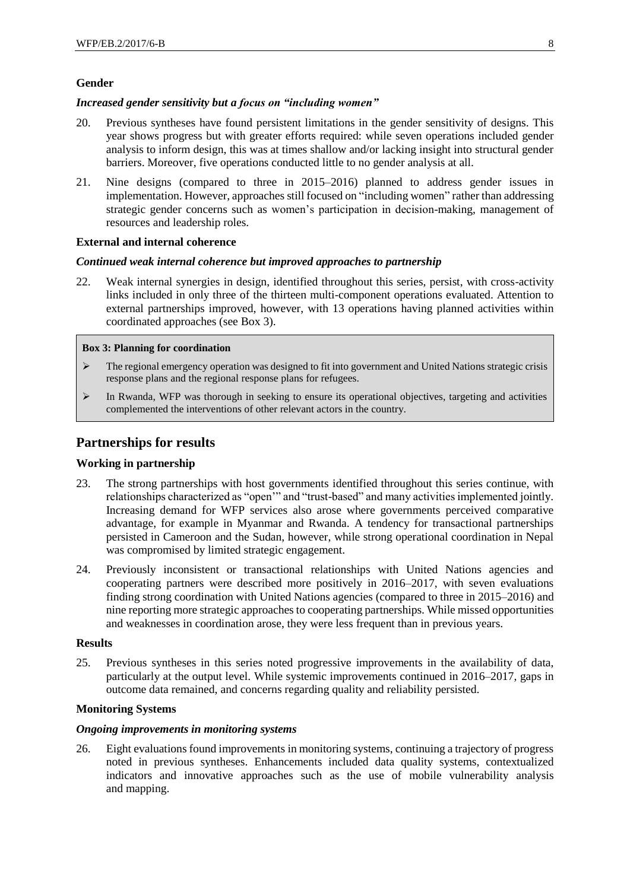## **Gender**

#### *Increased gender sensitivity but a focus on "including women"*

- 20. Previous syntheses have found persistent limitations in the gender sensitivity of designs. This year shows progress but with greater efforts required: while seven operations included gender analysis to inform design, this was at times shallow and/or lacking insight into structural gender barriers. Moreover, five operations conducted little to no gender analysis at all.
- 21. Nine designs (compared to three in 2015–2016) planned to address gender issues in implementation. However, approaches still focused on "including women" rather than addressing strategic gender concerns such as women's participation in decision-making, management of resources and leadership roles.

### **External and internal coherence**

#### *Continued weak internal coherence but improved approaches to partnership*

22. Weak internal synergies in design, identified throughout this series, persist, with cross-activity links included in only three of the thirteen multi-component operations evaluated. Attention to external partnerships improved, however, with 13 operations having planned activities within coordinated approaches (see Box 3).

#### **Box 3: Planning for coordination**

- ➢ The regional emergency operation was designed to fit into government and United Nations strategic crisis response plans and the regional response plans for refugees.
- ➢ In Rwanda, WFP was thorough in seeking to ensure its operational objectives, targeting and activities complemented the interventions of other relevant actors in the country.

## **Partnerships for results**

#### **Working in partnership**

- 23. The strong partnerships with host governments identified throughout this series continue, with relationships characterized as "open'" and "trust-based" and many activities implemented jointly. Increasing demand for WFP services also arose where governments perceived comparative advantage, for example in Myanmar and Rwanda. A tendency for transactional partnerships persisted in Cameroon and the Sudan, however, while strong operational coordination in Nepal was compromised by limited strategic engagement.
- 24. Previously inconsistent or transactional relationships with United Nations agencies and cooperating partners were described more positively in 2016–2017, with seven evaluations finding strong coordination with United Nations agencies (compared to three in 2015–2016) and nine reporting more strategic approaches to cooperating partnerships. While missed opportunities and weaknesses in coordination arose, they were less frequent than in previous years.

#### **Results**

25. Previous syntheses in this series noted progressive improvements in the availability of data, particularly at the output level. While systemic improvements continued in 2016–2017, gaps in outcome data remained, and concerns regarding quality and reliability persisted.

#### **Monitoring Systems**

#### *Ongoing improvements in monitoring systems*

26. Eight evaluations found improvements in monitoring systems, continuing a trajectory of progress noted in previous syntheses. Enhancements included data quality systems, contextualized indicators and innovative approaches such as the use of mobile vulnerability analysis and mapping.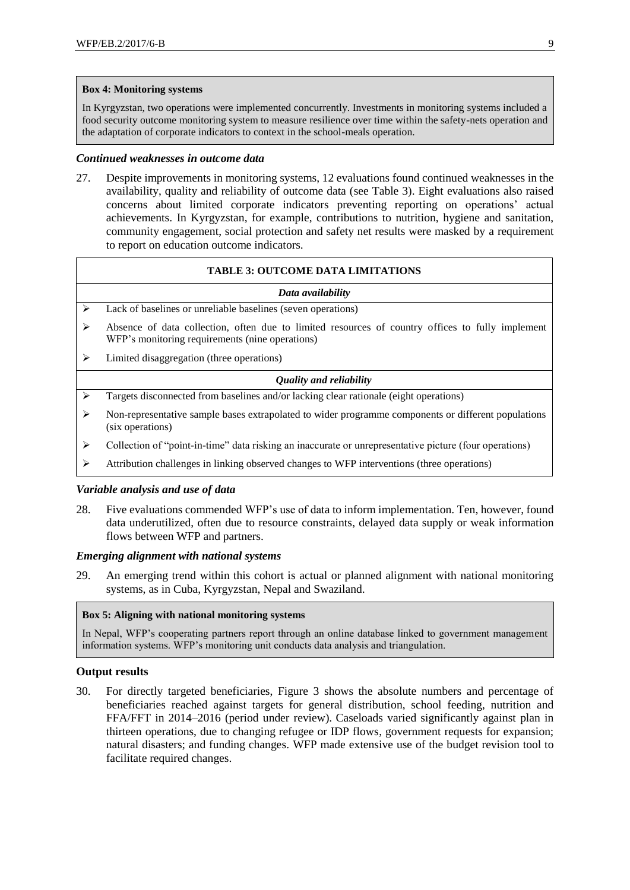#### **Box 4: Monitoring systems**

In Kyrgyzstan, two operations were implemented concurrently. Investments in monitoring systems included a food security outcome monitoring system to measure resilience over time within the safety-nets operation and the adaptation of corporate indicators to context in the school-meals operation.

#### *Continued weaknesses in outcome data*

27. Despite improvements in monitoring systems, 12 evaluations found continued weaknesses in the availability, quality and reliability of outcome data (see Table 3). Eight evaluations also raised concerns about limited corporate indicators preventing reporting on operations' actual achievements. In Kyrgyzstan, for example, contributions to nutrition, hygiene and sanitation, community engagement, social protection and safety net results were masked by a requirement to report on education outcome indicators.

### **TABLE 3: OUTCOME DATA LIMITATIONS**

#### *Data availability*

- ➢ Lack of baselines or unreliable baselines (seven operations)
- ➢ Absence of data collection, often due to limited resources of country offices to fully implement WFP's monitoring requirements (nine operations)
- ➢ Limited disaggregation (three operations)

#### *Quality and reliability*

- ➢ Targets disconnected from baselines and/or lacking clear rationale (eight operations)
- ➢ Non-representative sample bases extrapolated to wider programme components or different populations (six operations)
- ➢ Collection of "point-in-time" data risking an inaccurate or unrepresentative picture (four operations)
- $\triangleright$  Attribution challenges in linking observed changes to WFP interventions (three operations)

#### *Variable analysis and use of data*

28. Five evaluations commended WFP's use of data to inform implementation. Ten, however, found data underutilized, often due to resource constraints, delayed data supply or weak information flows between WFP and partners.

#### *Emerging alignment with national systems*

29. An emerging trend within this cohort is actual or planned alignment with national monitoring systems, as in Cuba, Kyrgyzstan, Nepal and Swaziland.

#### **Box 5: Aligning with national monitoring systems**

In Nepal, WFP's cooperating partners report through an online database linked to government management information systems. WFP's monitoring unit conducts data analysis and triangulation.

## **Output results**

30. For directly targeted beneficiaries, Figure 3 shows the absolute numbers and percentage of beneficiaries reached against targets for general distribution, school feeding, nutrition and FFA/FFT in 2014–2016 (period under review). Caseloads varied significantly against plan in thirteen operations, due to changing refugee or IDP flows, government requests for expansion; natural disasters; and funding changes. WFP made extensive use of the budget revision tool to facilitate required changes.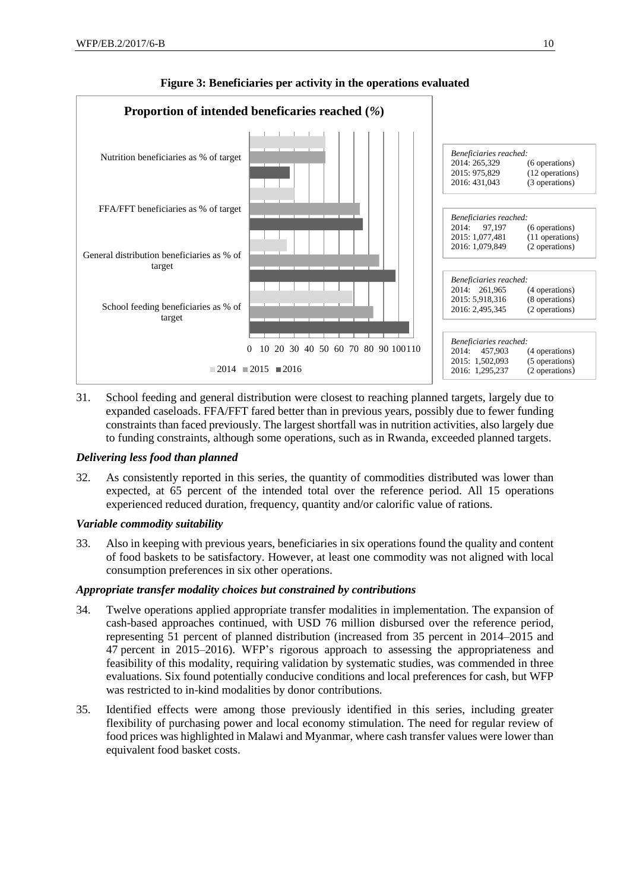

## **Figure 3: Beneficiaries per activity in the operations evaluated**

31. School feeding and general distribution were closest to reaching planned targets, largely due to expanded caseloads. FFA/FFT fared better than in previous years, possibly due to fewer funding constraints than faced previously. The largest shortfall was in nutrition activities, also largely due to funding constraints, although some operations, such as in Rwanda, exceeded planned targets.

## *Delivering less food than planned*

32. As consistently reported in this series, the quantity of commodities distributed was lower than expected, at 65 percent of the intended total over the reference period. All 15 operations experienced reduced duration, frequency, quantity and/or calorific value of rations.

## *Variable commodity suitability*

33. Also in keeping with previous years, beneficiaries in six operations found the quality and content of food baskets to be satisfactory. However, at least one commodity was not aligned with local consumption preferences in six other operations.

## *Appropriate transfer modality choices but constrained by contributions*

- 34. Twelve operations applied appropriate transfer modalities in implementation. The expansion of cash-based approaches continued, with USD 76 million disbursed over the reference period, representing 51 percent of planned distribution (increased from 35 percent in 2014–2015 and 47 percent in 2015–2016). WFP's rigorous approach to assessing the appropriateness and feasibility of this modality, requiring validation by systematic studies, was commended in three evaluations. Six found potentially conducive conditions and local preferences for cash, but WFP was restricted to in-kind modalities by donor contributions.
- 35. Identified effects were among those previously identified in this series, including greater flexibility of purchasing power and local economy stimulation. The need for regular review of food prices was highlighted in Malawi and Myanmar, where cash transfer values were lower than equivalent food basket costs.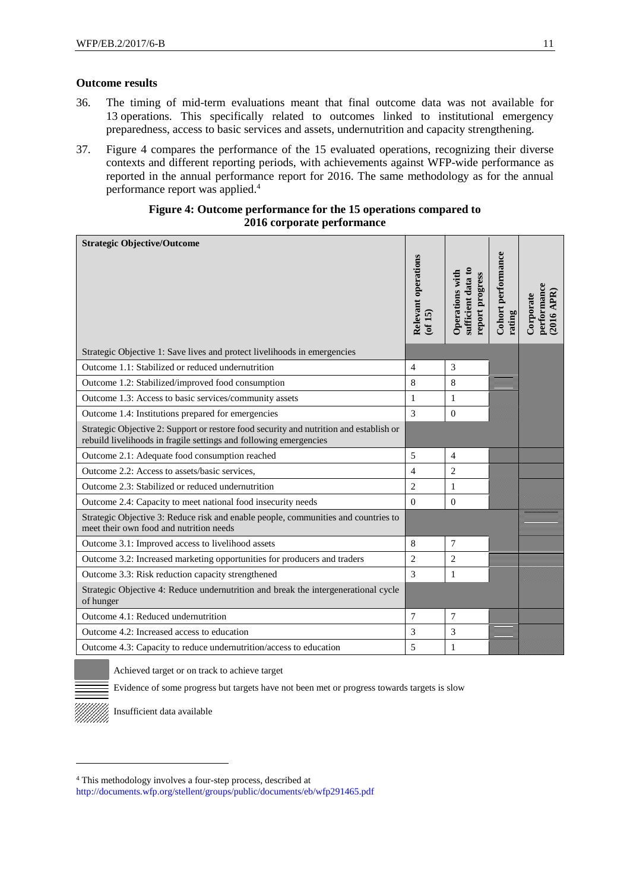#### **Outcome results**

- 36. The timing of mid-term evaluations meant that final outcome data was not available for 13 operations. This specifically related to outcomes linked to institutional emergency preparedness, access to basic services and assets, undernutrition and capacity strengthening.
- 37. Figure 4 compares the performance of the 15 evaluated operations, recognizing their diverse contexts and different reporting periods, with achievements against WFP-wide performance as reported in the annual performance report for 2016. The same methodology as for the annual performance report was applied.<sup>4</sup>

## **Figure 4: Outcome performance for the 15 operations compared to 2016 corporate performance**

| <b>Strategic Objective/Outcome</b>                                                                                                                          | Relevant operations<br>$($ of 15 $)$ | sufficient data to<br>Operations with<br>report progress | Cohort performance<br>rating | performance<br>2016 APR)<br>Corporate |
|-------------------------------------------------------------------------------------------------------------------------------------------------------------|--------------------------------------|----------------------------------------------------------|------------------------------|---------------------------------------|
|                                                                                                                                                             |                                      |                                                          |                              |                                       |
| Strategic Objective 1: Save lives and protect livelihoods in emergencies                                                                                    |                                      |                                                          |                              |                                       |
| Outcome 1.1: Stabilized or reduced undernutrition                                                                                                           | $\overline{4}$                       | 3                                                        |                              |                                       |
| Outcome 1.2: Stabilized/improved food consumption                                                                                                           | 8                                    | 8                                                        |                              |                                       |
| Outcome 1.3: Access to basic services/community assets                                                                                                      | $\mathbf{1}$                         | $\mathbf{1}$                                             |                              |                                       |
| Outcome 1.4: Institutions prepared for emergencies                                                                                                          | $\overline{3}$                       | $\mathbf{0}$                                             |                              |                                       |
| Strategic Objective 2: Support or restore food security and nutrition and establish or<br>rebuild livelihoods in fragile settings and following emergencies |                                      |                                                          |                              |                                       |
| Outcome 2.1: Adequate food consumption reached                                                                                                              | 5                                    | $\overline{4}$                                           |                              |                                       |
| Outcome 2.2: Access to assets/basic services,                                                                                                               | $\overline{4}$                       | 2                                                        |                              |                                       |
| Outcome 2.3: Stabilized or reduced undernutrition                                                                                                           | $\overline{c}$                       | $\mathbf{1}$                                             |                              |                                       |
| Outcome 2.4: Capacity to meet national food insecurity needs                                                                                                | $\Omega$                             | $\Omega$                                                 |                              |                                       |
| Strategic Objective 3: Reduce risk and enable people, communities and countries to<br>meet their own food and nutrition needs                               |                                      |                                                          |                              |                                       |
| Outcome 3.1: Improved access to livelihood assets                                                                                                           | 8                                    | $\overline{7}$                                           |                              |                                       |
| Outcome 3.2: Increased marketing opportunities for producers and traders                                                                                    | $\overline{2}$                       | $\overline{c}$                                           |                              |                                       |
| Outcome 3.3: Risk reduction capacity strengthened                                                                                                           | 3                                    | 1                                                        |                              |                                       |
| Strategic Objective 4: Reduce undernutrition and break the intergenerational cycle<br>of hunger                                                             |                                      |                                                          |                              |                                       |
| Outcome 4.1: Reduced undernutrition                                                                                                                         | 7                                    | $\tau$                                                   |                              |                                       |
| Outcome 4.2: Increased access to education                                                                                                                  | 3                                    | 3                                                        |                              |                                       |
| Outcome 4.3: Capacity to reduce undernutrition/access to education                                                                                          | 5                                    | $\mathbf{1}$                                             |                              |                                       |

Achieved target or on track to achieve target

Evidence of some progress but targets have not been met or progress towards targets is slow



1

Insufficient data available

<http://documents.wfp.org/stellent/groups/public/documents/eb/wfp291465.pdf>

<sup>4</sup> This methodology involves a four-step process, described at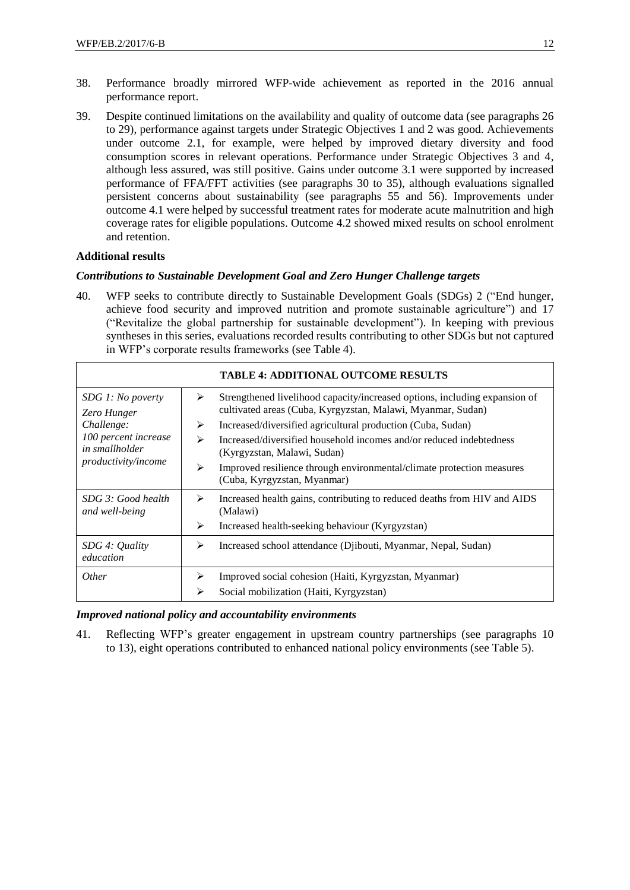- 38. Performance broadly mirrored WFP-wide achievement as reported in the 2016 annual performance report.
- 39. Despite continued limitations on the availability and quality of outcome data (see paragraphs 26 to 29), performance against targets under Strategic Objectives 1 and 2 was good. Achievements under outcome 2.1, for example, were helped by improved dietary diversity and food consumption scores in relevant operations. Performance under Strategic Objectives 3 and 4, although less assured, was still positive. Gains under outcome 3.1 were supported by increased performance of FFA/FFT activities (see paragraphs 30 to 35), although evaluations signalled persistent concerns about sustainability (see paragraphs 55 and 56). Improvements under outcome 4.1 were helped by successful treatment rates for moderate acute malnutrition and high coverage rates for eligible populations. Outcome 4.2 showed mixed results on school enrolment and retention.

### **Additional results**

#### *Contributions to Sustainable Development Goal and Zero Hunger Challenge targets*

40. WFP seeks to contribute directly to Sustainable Development Goals (SDGs) 2 ("End hunger, achieve food security and improved nutrition and promote sustainable agriculture") and 17 ("Revitalize the global partnership for sustainable development"). In keeping with previous syntheses in this series, evaluations recorded results contributing to other SDGs but not captured in WFP's corporate results frameworks (see Table 4).

|                                                                      |   | <b>TABLE 4: ADDITIONAL OUTCOME RESULTS</b>                                                                                                |
|----------------------------------------------------------------------|---|-------------------------------------------------------------------------------------------------------------------------------------------|
| SDG 1: No poverty<br>Zero Hunger                                     | ➤ | Strengthened livelihood capacity/increased options, including expansion of<br>cultivated areas (Cuba, Kyrgyzstan, Malawi, Myanmar, Sudan) |
| Challenge:                                                           | ⋗ | Increased/diversified agricultural production (Cuba, Sudan)                                                                               |
| 100 percent increase<br>in smallholder<br><i>productivity/income</i> | ↘ | Increased/diversified household incomes and/or reduced indebtedness<br>(Kyrgyzstan, Malawi, Sudan)                                        |
|                                                                      | ⋗ | Improved resilience through environmental/climate protection measures<br>(Cuba, Kyrgyzstan, Myanmar)                                      |
| SDG 3: Good health<br>and well-being                                 | ⋗ | Increased health gains, contributing to reduced deaths from HIV and AIDS<br>(Malawi)                                                      |
|                                                                      | ⋗ | Increased health-seeking behaviour (Kyrgyzstan)                                                                                           |
| SDG 4: Quality<br>education                                          | ⋗ | Increased school attendance (Djibouti, Myanmar, Nepal, Sudan)                                                                             |
| <i>Other</i>                                                         | ➤ | Improved social cohesion (Haiti, Kyrgyzstan, Myanmar)                                                                                     |
|                                                                      | ➢ | Social mobilization (Haiti, Kyrgyzstan)                                                                                                   |

#### *Improved national policy and accountability environments*

41. Reflecting WFP's greater engagement in upstream country partnerships (see paragraphs 10 to 13), eight operations contributed to enhanced national policy environments (see Table 5).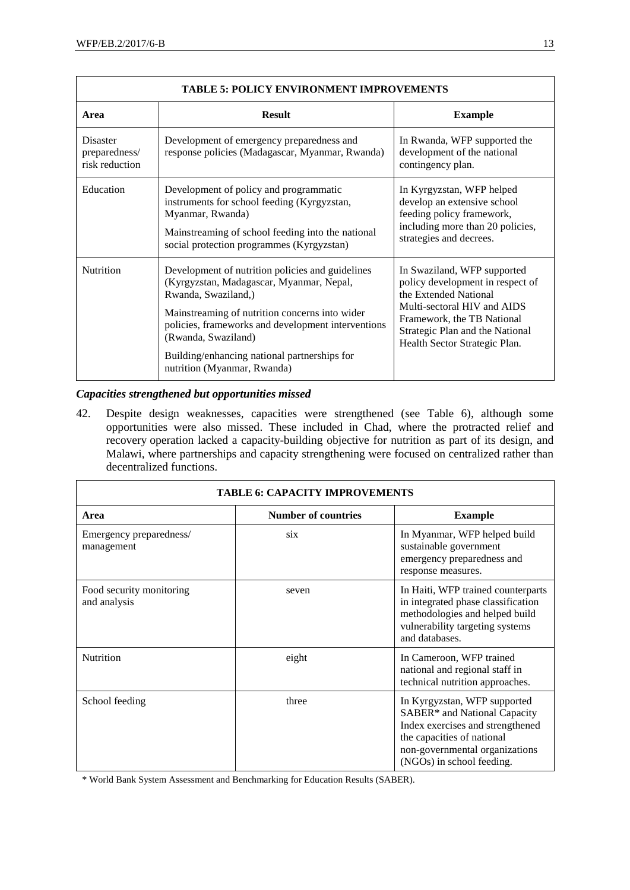|                                             | <b>TABLE 5: POLICY ENVIRONMENT IMPROVEMENTS</b>                                                                                                                                                                                                                                                                                   |                                                                                                                                                                                                                           |
|---------------------------------------------|-----------------------------------------------------------------------------------------------------------------------------------------------------------------------------------------------------------------------------------------------------------------------------------------------------------------------------------|---------------------------------------------------------------------------------------------------------------------------------------------------------------------------------------------------------------------------|
| Area                                        | <b>Result</b>                                                                                                                                                                                                                                                                                                                     | <b>Example</b>                                                                                                                                                                                                            |
| Disaster<br>preparedness/<br>risk reduction | Development of emergency preparedness and<br>response policies (Madagascar, Myanmar, Rwanda)                                                                                                                                                                                                                                      | In Rwanda, WFP supported the<br>development of the national<br>contingency plan.                                                                                                                                          |
| Education                                   | Development of policy and programmatic<br>instruments for school feeding (Kyrgyzstan,<br>Myanmar, Rwanda)<br>Mainstreaming of school feeding into the national<br>social protection programmes (Kyrgyzstan)                                                                                                                       | In Kyrgyzstan, WFP helped<br>develop an extensive school<br>feeding policy framework,<br>including more than 20 policies,<br>strategies and decrees.                                                                      |
| Nutrition                                   | Development of nutrition policies and guidelines<br>(Kyrgyzstan, Madagascar, Myanmar, Nepal,<br>Rwanda, Swaziland,)<br>Mainstreaming of nutrition concerns into wider<br>policies, frameworks and development interventions<br>(Rwanda, Swaziland)<br>Building/enhancing national partnerships for<br>nutrition (Myanmar, Rwanda) | In Swaziland, WFP supported<br>policy development in respect of<br>the Extended National<br>Multi-sectoral HIV and AIDS<br>Framework, the TB National<br>Strategic Plan and the National<br>Health Sector Strategic Plan. |

## *Capacities strengthened but opportunities missed*

42. Despite design weaknesses, capacities were strengthened (see Table 6), although some opportunities were also missed. These included in Chad, where the protracted relief and recovery operation lacked a capacity-building objective for nutrition as part of its design, and Malawi, where partnerships and capacity strengthening were focused on centralized rather than decentralized functions.

| <b>TABLE 6: CAPACITY IMPROVEMENTS</b>    |                            |                                                                                                                                                                                               |  |  |  |  |  |  |
|------------------------------------------|----------------------------|-----------------------------------------------------------------------------------------------------------------------------------------------------------------------------------------------|--|--|--|--|--|--|
| Area                                     | <b>Number of countries</b> | <b>Example</b>                                                                                                                                                                                |  |  |  |  |  |  |
| Emergency preparedness/<br>management    | six                        | In Myanmar, WFP helped build<br>sustainable government<br>emergency preparedness and<br>response measures.                                                                                    |  |  |  |  |  |  |
| Food security monitoring<br>and analysis | seven                      | In Haiti, WFP trained counterparts<br>in integrated phase classification<br>methodologies and helped build<br>vulnerability targeting systems<br>and databases.                               |  |  |  |  |  |  |
| Nutrition                                | eight                      | In Cameroon, WFP trained<br>national and regional staff in<br>technical nutrition approaches.                                                                                                 |  |  |  |  |  |  |
| School feeding                           | three                      | In Kyrgyzstan, WFP supported<br>SABER* and National Capacity<br>Index exercises and strengthened<br>the capacities of national<br>non-governmental organizations<br>(NGOs) in school feeding. |  |  |  |  |  |  |

\* World Bank System Assessment and Benchmarking for Education Results (SABER).

٦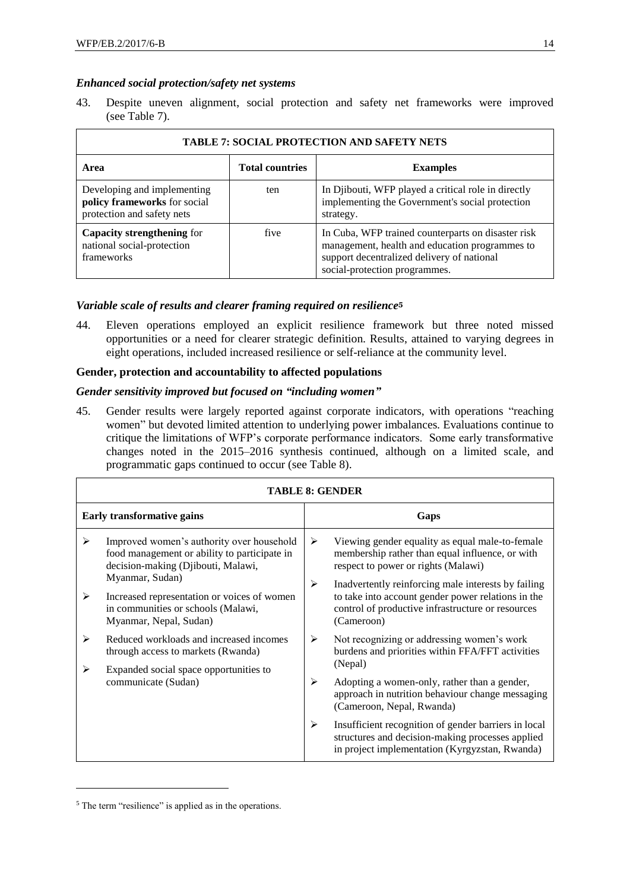## *Enhanced social protection/safety net systems*

43. Despite uneven alignment, social protection and safety net frameworks were improved (see Table 7).

|                                                                                           |                        | <b>TABLE 7: SOCIAL PROTECTION AND SAFETY NETS</b>                                                                                                                                   |
|-------------------------------------------------------------------------------------------|------------------------|-------------------------------------------------------------------------------------------------------------------------------------------------------------------------------------|
| Area                                                                                      | <b>Total countries</b> | <b>Examples</b>                                                                                                                                                                     |
| Developing and implementing<br>policy frameworks for social<br>protection and safety nets | ten                    | In Djibouti, WFP played a critical role in directly<br>implementing the Government's social protection<br>strategy.                                                                 |
| <b>Capacity strengthening for</b><br>national social-protection<br>frameworks             | five                   | In Cuba, WFP trained counterparts on disaster risk<br>management, health and education programmes to<br>support decentralized delivery of national<br>social-protection programmes. |

### *Variable scale of results and clearer framing required on resilience***<sup>5</sup>**

44. Eleven operations employed an explicit resilience framework but three noted missed opportunities or a need for clearer strategic definition. Results, attained to varying degrees in eight operations, included increased resilience or self-reliance at the community level.

## **Gender, protection and accountability to affected populations**

### *Gender sensitivity improved but focused on "including women"*

45. Gender results were largely reported against corporate indicators, with operations "reaching women" but devoted limited attention to underlying power imbalances. Evaluations continue to critique the limitations of WFP's corporate performance indicators. Some early transformative changes noted in the 2015–2016 synthesis continued, although on a limited scale, and programmatic gaps continued to occur (see Table 8).

|        | <b>TABLE 8: GENDER</b>                                                                                                                                                                                                                  |        |                                                                                                                                                                                                                                                                                                             |  |  |  |  |  |
|--------|-----------------------------------------------------------------------------------------------------------------------------------------------------------------------------------------------------------------------------------------|--------|-------------------------------------------------------------------------------------------------------------------------------------------------------------------------------------------------------------------------------------------------------------------------------------------------------------|--|--|--|--|--|
|        | <b>Early transformative gains</b>                                                                                                                                                                                                       | Gaps   |                                                                                                                                                                                                                                                                                                             |  |  |  |  |  |
| ≻<br>≻ | Improved women's authority over household<br>food management or ability to participate in<br>decision-making (Djibouti, Malawi,<br>Myanmar, Sudan)<br>Increased representation or voices of women<br>in communities or schools (Malawi, | ➤<br>➤ | Viewing gender equality as equal male-to-female<br>membership rather than equal influence, or with<br>respect to power or rights (Malawi)<br>Inadvertently reinforcing male interests by failing<br>to take into account gender power relations in the<br>control of productive infrastructure or resources |  |  |  |  |  |
|        | Myanmar, Nepal, Sudan)                                                                                                                                                                                                                  |        | (Cameroon)                                                                                                                                                                                                                                                                                                  |  |  |  |  |  |
| ≻      | Reduced workloads and increased incomes<br>through access to markets (Rwanda)                                                                                                                                                           | ➤      | Not recognizing or addressing women's work<br>burdens and priorities within FFA/FFT activities                                                                                                                                                                                                              |  |  |  |  |  |
| ➤      | Expanded social space opportunities to                                                                                                                                                                                                  |        | (Nepal)                                                                                                                                                                                                                                                                                                     |  |  |  |  |  |
|        | communicate (Sudan)                                                                                                                                                                                                                     | ⋗      | Adopting a women-only, rather than a gender,<br>approach in nutrition behaviour change messaging<br>(Cameroon, Nepal, Rwanda)                                                                                                                                                                               |  |  |  |  |  |
|        |                                                                                                                                                                                                                                         | ➤      | Insufficient recognition of gender barriers in local<br>structures and decision-making processes applied<br>in project implementation (Kyrgyzstan, Rwanda)                                                                                                                                                  |  |  |  |  |  |

<sup>&</sup>lt;sup>5</sup> The term "resilience" is applied as in the operations.

-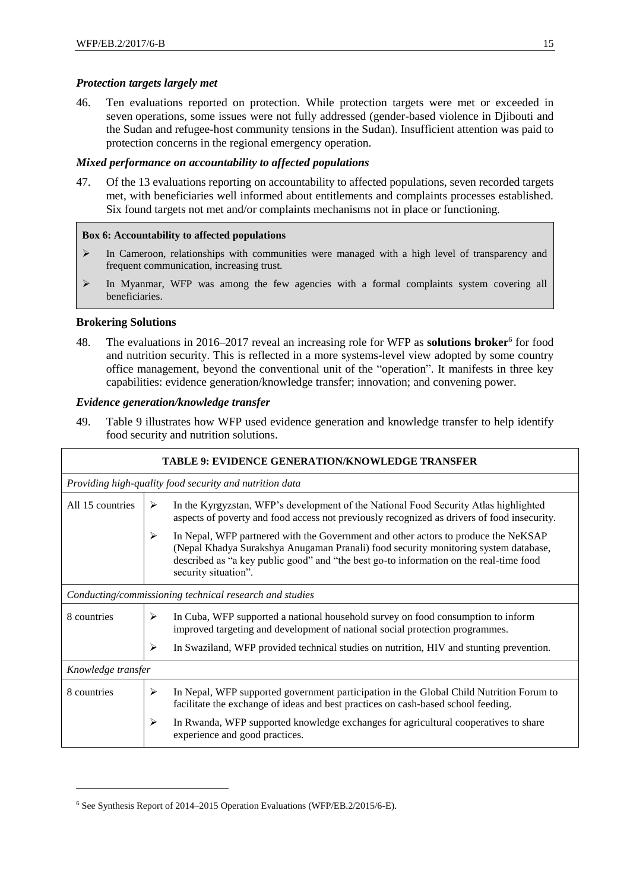## *Protection targets largely met*

46. Ten evaluations reported on protection. While protection targets were met or exceeded in seven operations, some issues were not fully addressed (gender-based violence in Djibouti and the Sudan and refugee-host community tensions in the Sudan). Insufficient attention was paid to protection concerns in the regional emergency operation.

### *Mixed performance on accountability to affected populations*

47. Of the 13 evaluations reporting on accountability to affected populations, seven recorded targets met, with beneficiaries well informed about entitlements and complaints processes established. Six found targets not met and/or complaints mechanisms not in place or functioning.

### **Box 6: Accountability to affected populations**

- ➢ In Cameroon, relationships with communities were managed with a high level of transparency and frequent communication, increasing trust.
- ➢ In Myanmar, WFP was among the few agencies with a formal complaints system covering all beneficiaries.

### **Brokering Solutions**

-

48. The evaluations in 2016–2017 reveal an increasing role for WFP as **solutions broker**<sup>6</sup> for food and nutrition security. This is reflected in a more systems-level view adopted by some country office management, beyond the conventional unit of the "operation". It manifests in three key capabilities: evidence generation/knowledge transfer; innovation; and convening power.

### *Evidence generation/knowledge transfer*

49. Table 9 illustrates how WFP used evidence generation and knowledge transfer to help identify food security and nutrition solutions.

|                    |                                                         | <b>TABLE 9: EVIDENCE GENERATION/KNOWLEDGE TRANSFER</b>                                                                                                                                                                                                                                      |  |  |  |  |  |  |
|--------------------|---------------------------------------------------------|---------------------------------------------------------------------------------------------------------------------------------------------------------------------------------------------------------------------------------------------------------------------------------------------|--|--|--|--|--|--|
|                    | Providing high-quality food security and nutrition data |                                                                                                                                                                                                                                                                                             |  |  |  |  |  |  |
| All 15 countries   | ⋗                                                       | In the Kyrgyzstan, WFP's development of the National Food Security Atlas highlighted<br>aspects of poverty and food access not previously recognized as drivers of food insecurity.                                                                                                         |  |  |  |  |  |  |
|                    | ➤                                                       | In Nepal, WFP partnered with the Government and other actors to produce the NeKSAP<br>(Nepal Khadya Surakshya Anugaman Pranali) food security monitoring system database,<br>described as "a key public good" and "the best go-to information on the real-time food<br>security situation". |  |  |  |  |  |  |
|                    |                                                         | Conducting/commissioning technical research and studies                                                                                                                                                                                                                                     |  |  |  |  |  |  |
| 8 countries        | ⋗                                                       | In Cuba, WFP supported a national household survey on food consumption to inform<br>improved targeting and development of national social protection programmes.                                                                                                                            |  |  |  |  |  |  |
|                    | ⋗                                                       | In Swaziland, WFP provided technical studies on nutrition, HIV and stunting prevention.                                                                                                                                                                                                     |  |  |  |  |  |  |
| Knowledge transfer |                                                         |                                                                                                                                                                                                                                                                                             |  |  |  |  |  |  |
| 8 countries        | ➤                                                       | In Nepal, WFP supported government participation in the Global Child Nutrition Forum to<br>facilitate the exchange of ideas and best practices on cash-based school feeding.                                                                                                                |  |  |  |  |  |  |
|                    | ➤                                                       | In Rwanda, WFP supported knowledge exchanges for agricultural cooperatives to share<br>experience and good practices.                                                                                                                                                                       |  |  |  |  |  |  |

<sup>6</sup> See Synthesis Report of 2014–2015 Operation Evaluations (WFP/EB.2/2015/6-E).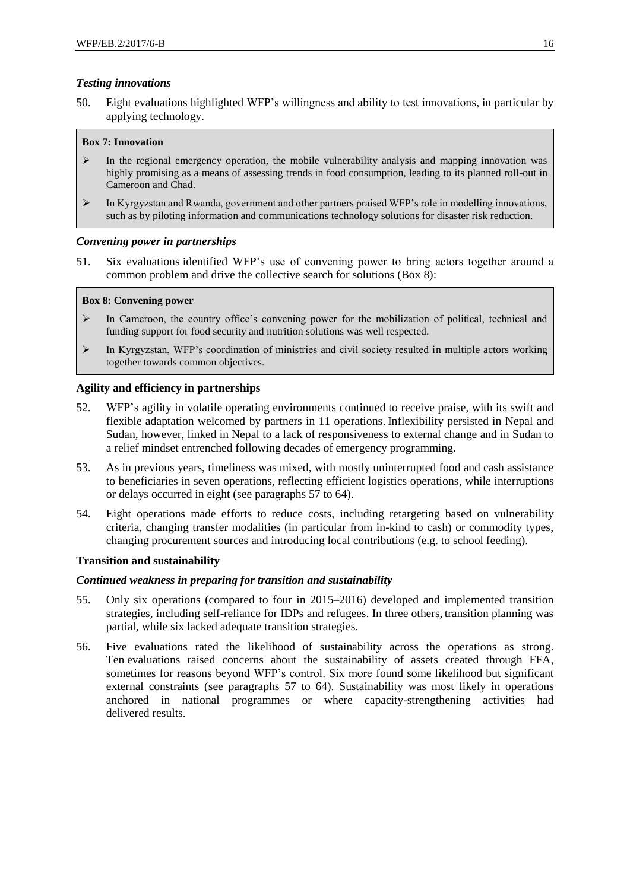## *Testing innovations*

50. Eight evaluations highlighted WFP's willingness and ability to test innovations, in particular by applying technology.

### **Box 7: Innovation**

- $\triangleright$  In the regional emergency operation, the mobile vulnerability analysis and mapping innovation was highly promising as a means of assessing trends in food consumption, leading to its planned roll-out in Cameroon and Chad.
- ➢ In Kyrgyzstan and Rwanda, government and other partners praised WFP's role in modelling innovations, such as by piloting information and communications technology solutions for disaster risk reduction.

### *Convening power in partnerships*

51. Six evaluations identified WFP's use of convening power to bring actors together around a common problem and drive the collective search for solutions (Box 8):

#### **Box 8: Convening power**

- $\triangleright$  In Cameroon, the country office's convening power for the mobilization of political, technical and funding support for food security and nutrition solutions was well respected.
- ➢ In Kyrgyzstan, WFP's coordination of ministries and civil society resulted in multiple actors working together towards common objectives.

### **Agility and efficiency in partnerships**

- 52. WFP's agility in volatile operating environments continued to receive praise, with its swift and flexible adaptation welcomed by partners in 11 operations. Inflexibility persisted in Nepal and Sudan, however, linked in Nepal to a lack of responsiveness to external change and in Sudan to a relief mindset entrenched following decades of emergency programming.
- 53. As in previous years, timeliness was mixed, with mostly uninterrupted food and cash assistance to beneficiaries in seven operations, reflecting efficient logistics operations, while interruptions or delays occurred in eight (see paragraphs 57 to 64).
- 54. Eight operations made efforts to reduce costs, including retargeting based on vulnerability criteria, changing transfer modalities (in particular from in-kind to cash) or commodity types, changing procurement sources and introducing local contributions (e.g. to school feeding).

#### **Transition and sustainability**

#### *Continued weakness in preparing for transition and sustainability*

- 55. Only six operations (compared to four in 2015–2016) developed and implemented transition strategies, including self-reliance for IDPs and refugees. In three others, transition planning was partial, while six lacked adequate transition strategies.
- 56. Five evaluations rated the likelihood of sustainability across the operations as strong. Ten evaluations raised concerns about the sustainability of assets created through FFA, sometimes for reasons beyond WFP's control. Six more found some likelihood but significant external constraints (see paragraphs 57 to 64). Sustainability was most likely in operations anchored in national programmes or where capacity-strengthening activities had delivered results.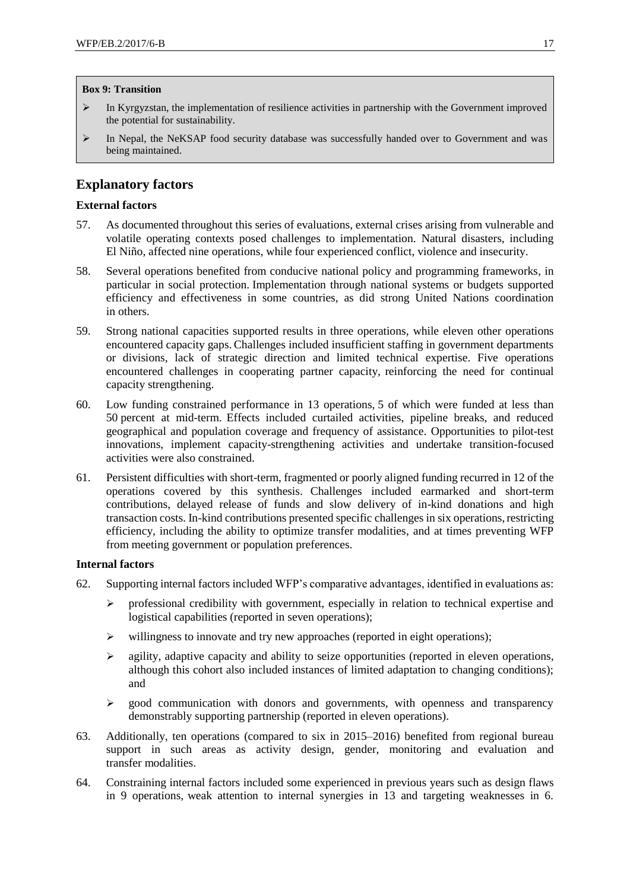#### **Box 9: Transition**

- ➢ In Kyrgyzstan, the implementation of resilience activities in partnership with the Government improved the potential for sustainability.
- ➢ In Nepal, the NeKSAP food security database was successfully handed over to Government and was being maintained.

## **Explanatory factors**

## **External factors**

- 57. As documented throughout this series of evaluations, external crises arising from vulnerable and volatile operating contexts posed challenges to implementation. Natural disasters, including El Niño, affected nine operations, while four experienced conflict, violence and insecurity.
- 58. Several operations benefited from conducive national policy and programming frameworks, in particular in social protection. Implementation through national systems or budgets supported efficiency and effectiveness in some countries, as did strong United Nations coordination in others.
- 59. Strong national capacities supported results in three operations, while eleven other operations encountered capacity gaps.Challenges included insufficient staffing in government departments or divisions, lack of strategic direction and limited technical expertise. Five operations encountered challenges in cooperating partner capacity, reinforcing the need for continual capacity strengthening.
- 60. Low funding constrained performance in 13 operations, 5 of which were funded at less than 50 percent at mid-term. Effects included curtailed activities, pipeline breaks, and reduced geographical and population coverage and frequency of assistance. Opportunities to pilot-test innovations, implement capacity-strengthening activities and undertake transition-focused activities were also constrained.
- 61. Persistent difficulties with short-term, fragmented or poorly aligned funding recurred in 12 of the operations covered by this synthesis. Challenges included earmarked and short-term contributions, delayed release of funds and slow delivery of in-kind donations and high transaction costs. In-kind contributions presented specific challenges in six operations,restricting efficiency, including the ability to optimize transfer modalities, and at times preventing WFP from meeting government or population preferences.

## **Internal factors**

- 62. Supporting internal factors included WFP's comparative advantages, identified in evaluations as:
	- ➢ professional credibility with government, especially in relation to technical expertise and logistical capabilities (reported in seven operations);
	- ➢ willingness to innovate and try new approaches (reported in eight operations);
	- ➢ agility, adaptive capacity and ability to seize opportunities (reported in eleven operations, although this cohort also included instances of limited adaptation to changing conditions); and
	- ➢ good communication with donors and governments, with openness and transparency demonstrably supporting partnership (reported in eleven operations).
- 63. Additionally, ten operations (compared to six in 2015–2016) benefited from regional bureau support in such areas as activity design, gender, monitoring and evaluation and transfer modalities.
- 64. Constraining internal factors included some experienced in previous years such as design flaws in 9 operations, weak attention to internal synergies in 13 and targeting weaknesses in 6.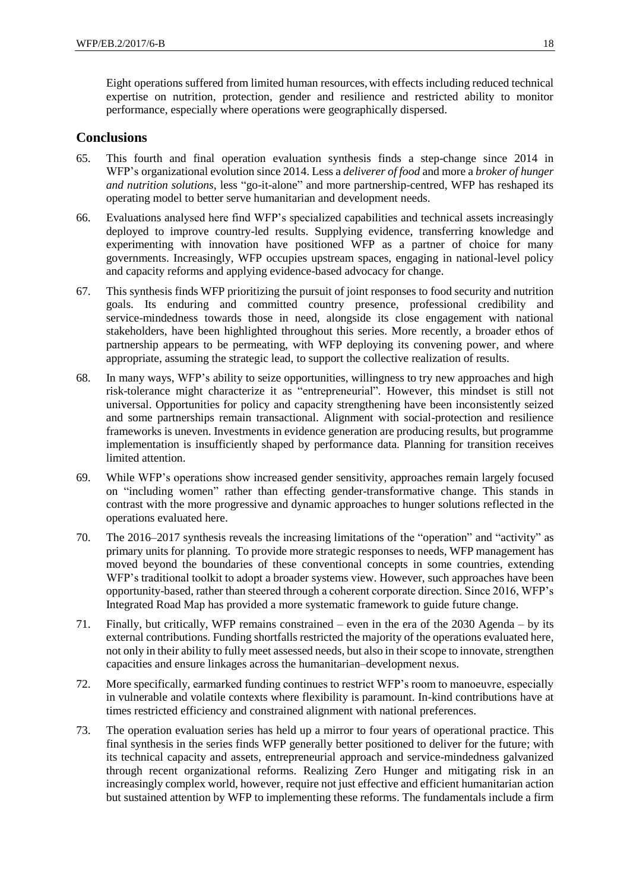Eight operations suffered from limited human resources, with effects including reduced technical expertise on nutrition, protection, gender and resilience and restricted ability to monitor performance, especially where operations were geographically dispersed.

## **Conclusions**

- 65. This fourth and final operation evaluation synthesis finds a step-change since 2014 in WFP's organizational evolution since 2014. Less a *deliverer of food* and more a *broker of hunger and nutrition solutions*, less "go-it-alone" and more partnership-centred, WFP has reshaped its operating model to better serve humanitarian and development needs.
- 66. Evaluations analysed here find WFP's specialized capabilities and technical assets increasingly deployed to improve country-led results. Supplying evidence, transferring knowledge and experimenting with innovation have positioned WFP as a partner of choice for many governments. Increasingly, WFP occupies upstream spaces, engaging in national-level policy and capacity reforms and applying evidence-based advocacy for change.
- 67. This synthesis finds WFP prioritizing the pursuit of joint responses to food security and nutrition goals. Its enduring and committed country presence, professional credibility and service-mindedness towards those in need, alongside its close engagement with national stakeholders, have been highlighted throughout this series. More recently, a broader ethos of partnership appears to be permeating, with WFP deploying its convening power, and where appropriate, assuming the strategic lead, to support the collective realization of results.
- 68. In many ways, WFP's ability to seize opportunities, willingness to try new approaches and high risk-tolerance might characterize it as "entrepreneurial"*.* However, this mindset is still not universal. Opportunities for policy and capacity strengthening have been inconsistently seized and some partnerships remain transactional. Alignment with social-protection and resilience frameworks is uneven. Investments in evidence generation are producing results, but programme implementation is insufficiently shaped by performance data. Planning for transition receives limited attention.
- 69. While WFP's operations show increased gender sensitivity, approaches remain largely focused on "including women" rather than effecting gender-transformative change. This stands in contrast with the more progressive and dynamic approaches to hunger solutions reflected in the operations evaluated here.
- 70. The 2016–2017 synthesis reveals the increasing limitations of the "operation" and "activity" as primary units for planning. To provide more strategic responses to needs, WFP management has moved beyond the boundaries of these conventional concepts in some countries, extending WFP's traditional toolkit to adopt a broader systems view. However, such approaches have been opportunity-based, rather than steered through a coherent corporate direction. Since 2016, WFP's Integrated Road Map has provided a more systematic framework to guide future change.
- 71. Finally, but critically, WFP remains constrained even in the era of the 2030 Agenda by its external contributions. Funding shortfalls restricted the majority of the operations evaluated here, not only in their ability to fully meet assessed needs, but also in their scope to innovate, strengthen capacities and ensure linkages across the humanitarian–development nexus.
- 72. More specifically, earmarked funding continues to restrict WFP's room to manoeuvre, especially in vulnerable and volatile contexts where flexibility is paramount. In-kind contributions have at times restricted efficiency and constrained alignment with national preferences.
- 73. The operation evaluation series has held up a mirror to four years of operational practice. This final synthesis in the series finds WFP generally better positioned to deliver for the future; with its technical capacity and assets, entrepreneurial approach and service-mindedness galvanized through recent organizational reforms. Realizing Zero Hunger and mitigating risk in an increasingly complex world, however, require not just effective and efficient humanitarian action but sustained attention by WFP to implementing these reforms. The fundamentals include a firm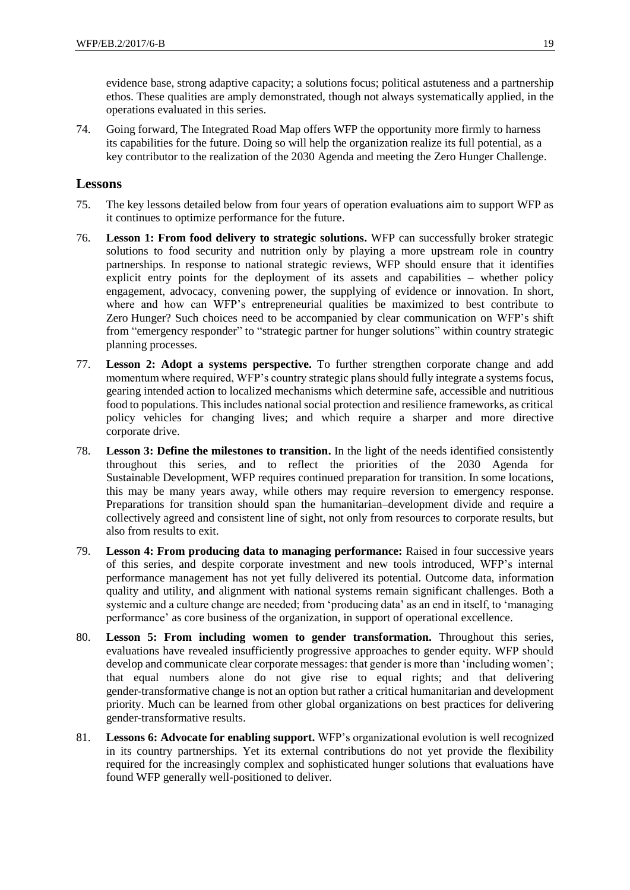evidence base, strong adaptive capacity; a solutions focus; political astuteness and a partnership ethos. These qualities are amply demonstrated, though not always systematically applied, in the operations evaluated in this series.

74. Going forward, The Integrated Road Map offers WFP the opportunity more firmly to harness its capabilities for the future. Doing so will help the organization realize its full potential, as a key contributor to the realization of the 2030 Agenda and meeting the Zero Hunger Challenge.

## **Lessons**

- 75. The key lessons detailed below from four years of operation evaluations aim to support WFP as it continues to optimize performance for the future.
- 76. **Lesson 1: From food delivery to strategic solutions.** WFP can successfully broker strategic solutions to food security and nutrition only by playing a more upstream role in country partnerships. In response to national strategic reviews, WFP should ensure that it identifies explicit entry points for the deployment of its assets and capabilities – whether policy engagement, advocacy, convening power, the supplying of evidence or innovation. In short, where and how can WFP's entrepreneurial qualities be maximized to best contribute to Zero Hunger? Such choices need to be accompanied by clear communication on WFP's shift from "emergency responder" to "strategic partner for hunger solutions" within country strategic planning processes.
- 77. **Lesson 2: Adopt a systems perspective.** To further strengthen corporate change and add momentum where required, WFP's country strategic plans should fully integrate a systems focus, gearing intended action to localized mechanisms which determine safe, accessible and nutritious food to populations. This includes national social protection and resilience frameworks, as critical policy vehicles for changing lives; and which require a sharper and more directive corporate drive.
- 78. **Lesson 3: Define the milestones to transition.** In the light of the needs identified consistently throughout this series, and to reflect the priorities of the 2030 Agenda for Sustainable Development, WFP requires continued preparation for transition. In some locations, this may be many years away, while others may require reversion to emergency response. Preparations for transition should span the humanitarian–development divide and require a collectively agreed and consistent line of sight, not only from resources to corporate results, but also from results to exit.
- 79. **Lesson 4: From producing data to managing performance:** Raised in four successive years of this series, and despite corporate investment and new tools introduced, WFP's internal performance management has not yet fully delivered its potential. Outcome data, information quality and utility, and alignment with national systems remain significant challenges. Both a systemic and a culture change are needed; from 'producing data' as an end in itself, to 'managing performance' as core business of the organization, in support of operational excellence.
- 80. **Lesson 5: From including women to gender transformation.** Throughout this series, evaluations have revealed insufficiently progressive approaches to gender equity. WFP should develop and communicate clear corporate messages: that gender is more than 'including women'; that equal numbers alone do not give rise to equal rights; and that delivering gender-transformative change is not an option but rather a critical humanitarian and development priority. Much can be learned from other global organizations on best practices for delivering gender-transformative results.
- 81. **Lessons 6: Advocate for enabling support.** WFP's organizational evolution is well recognized in its country partnerships. Yet its external contributions do not yet provide the flexibility required for the increasingly complex and sophisticated hunger solutions that evaluations have found WFP generally well-positioned to deliver.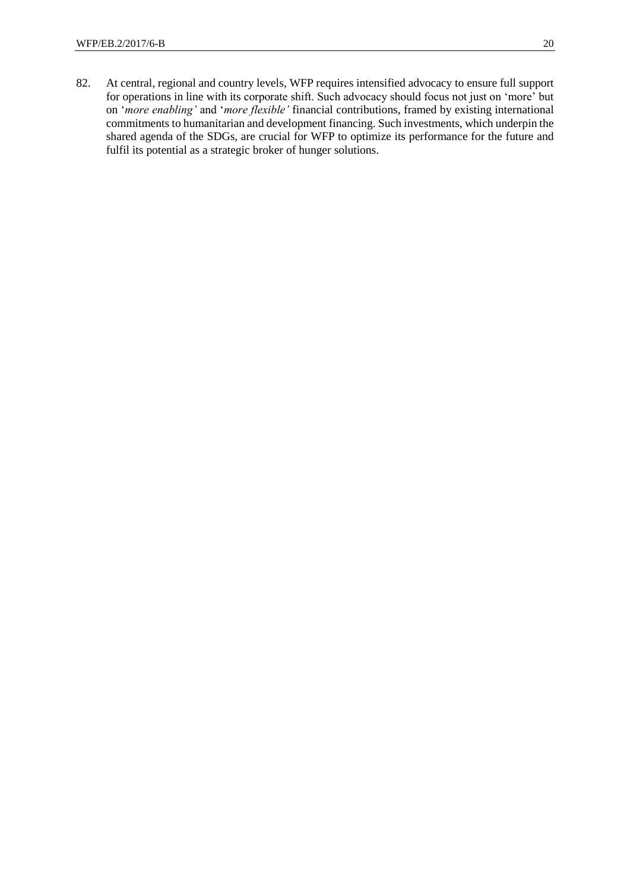82. At central, regional and country levels, WFP requires intensified advocacy to ensure full support for operations in line with its corporate shift. Such advocacy should focus not just on 'more' but on '*more enabling'* and '*more flexible'* financial contributions, framed by existing international commitments to humanitarian and development financing. Such investments, which underpin the shared agenda of the SDGs, are crucial for WFP to optimize its performance for the future and fulfil its potential as a strategic broker of hunger solutions.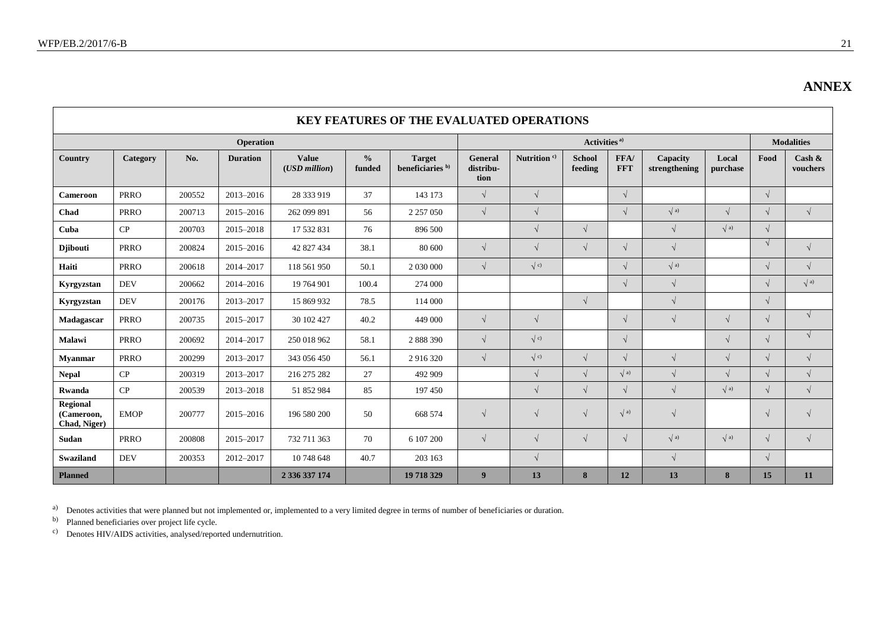$\blacksquare$ 

|                                               | <b>KEY FEATURES OF THE EVALUATED OPERATIONS</b> |        |                  |                                    |                         |                                              |                              |                         |                          |                    |                           |                   |                   |                       |
|-----------------------------------------------|-------------------------------------------------|--------|------------------|------------------------------------|-------------------------|----------------------------------------------|------------------------------|-------------------------|--------------------------|--------------------|---------------------------|-------------------|-------------------|-----------------------|
|                                               |                                                 |        | <b>Operation</b> |                                    |                         |                                              | Activities <sup>a)</sup>     |                         |                          |                    |                           |                   | <b>Modalities</b> |                       |
| Country                                       | Category                                        | No.    | <b>Duration</b>  | <b>Value</b><br>$(USD$ million $)$ | $\frac{0}{0}$<br>funded | <b>Target</b><br>beneficiaries <sup>b)</sup> | General<br>distribu-<br>tion | Nutrition <sup>c)</sup> | <b>School</b><br>feeding | FFA/<br><b>FFT</b> | Capacity<br>strengthening | Local<br>purchase | Food              | Cash $\&$<br>vouchers |
| <b>Cameroon</b>                               | <b>PRRO</b>                                     | 200552 | 2013-2016        | 28 333 919                         | 37                      | 143 173                                      | $\sqrt{ }$                   | $\sqrt{}$               |                          | $\sqrt{ }$         |                           |                   | $\sqrt{ }$        |                       |
| Chad                                          | <b>PRRO</b>                                     | 200713 | 2015-2016        | 262 099 891                        | 56                      | 2 2 5 7 0 5 0                                | $\sqrt{}$                    | $\sqrt{}$               |                          | $\sqrt{}$          | $\sqrt{a}$                | $\sqrt{ }$        | $\sqrt{ }$        | $\sqrt{ }$            |
| Cuba                                          | CP                                              | 200703 | 2015-2018        | 17 532 831                         | 76                      | 896 500                                      |                              | $\sqrt{}$               | $\sqrt{ }$               |                    | $\sqrt{ }$                | $\sqrt{a}$        | $\sqrt{}$         |                       |
| <b>Diibouti</b>                               | <b>PRRO</b>                                     | 200824 | 2015-2016        | 42 827 434                         | 38.1                    | 80 600                                       | $\sqrt{ }$                   | $\sqrt{ }$              | $\sqrt{ }$               | $\sqrt{ }$         | $\sqrt{ }$                |                   | $\sqrt{ }$        | $\sqrt{ }$            |
| Haiti                                         | <b>PRRO</b>                                     | 200618 | 2014-2017        | 118 561 950                        | 50.1                    |                                              | $\sqrt{ }$                   | $\sqrt{c}$              |                          | $\sqrt{ }$         | $\sqrt{a}$                |                   | $\sqrt{ }$        | $\sqrt{ }$            |
| Kyrgyzstan                                    | <b>DEV</b>                                      | 200662 | 2014-2016        | 19 764 901                         | 100.4                   | 274 000                                      |                              |                         |                          | $\sqrt{ }$         | $\sqrt{ }$                |                   | $\sqrt{}$         | $\sqrt{a}$            |
| Kyrgyzstan                                    | <b>DEV</b>                                      | 200176 | 2013-2017        | 15 869 932                         | 78.5                    | 114 000                                      |                              |                         | $\sqrt{ }$               |                    | $\sqrt{}$                 |                   | $\sqrt{ }$        |                       |
| Madagascar                                    | <b>PRRO</b>                                     | 200735 | 2015-2017        | 30 102 427                         | 40.2                    | 449 000                                      | $\sqrt{ }$                   | $\sqrt{ }$              |                          | $\sqrt{ }$         | $\sqrt{ }$                | $\sqrt{ }$        | $\sqrt{ }$        | $\sqrt{ }$            |
| Malawi                                        | <b>PRRO</b>                                     | 200692 | 2014-2017        | 250 018 962                        | 58.1                    | 2 888 390                                    | $\sqrt{ }$                   | $\sqrt{c}$              |                          | $\sqrt{ }$         |                           | $\sqrt{ }$        | $\sqrt{ }$        | $\sqrt{ }$            |
| <b>Myanmar</b>                                | <b>PRRO</b>                                     | 200299 | 2013-2017        | 343 056 450                        | 56.1                    | 2 9 1 6 3 2 0                                | $\sqrt{}$                    | $\sqrt{\phantom{0}c}$   | $\sqrt{ }$               | $\sqrt{}$          | $\sqrt{ }$                | $\sqrt{ }$        | $\sqrt{}$         | $\sqrt{ }$            |
| <b>Nepal</b>                                  | CP                                              | 200319 | 2013-2017        | 216 275 282                        | 27                      | 492 909                                      |                              | $\sqrt{}$               | $\sqrt{2}$               | $\sqrt{a}$         | $\sqrt{ }$                | $\sqrt{ }$        | $\sqrt{ }$        | $\sqrt{ }$            |
| <b>Rwanda</b>                                 | CP                                              | 200539 | 2013-2018        | 51 852 984                         | 85                      | 197450                                       |                              | $\sqrt{}$               | $\sqrt{ }$               | $\sqrt{ }$         | $\sqrt{ }$                | $\sqrt{a}$        | $\sqrt{ }$        | $\sqrt{}$             |
| <b>Regional</b><br>(Cameroon,<br>Chad, Niger) | <b>EMOP</b>                                     | 200777 | 2015-2016        | 196 580 200                        | 50                      | 668 574                                      | $\sqrt{ }$                   | $\sqrt{ }$              | $\sqrt{ }$               | $\sqrt{a}$         | $\sqrt{ }$                |                   | $\sqrt{ }$        | $\sqrt{ }$            |
| Sudan                                         | <b>PRRO</b>                                     | 200808 | 2015-2017        | 732 711 363                        | 70                      | 6 107 200                                    | $\sqrt{}$                    | $\sqrt{ }$              | $\sqrt{ }$               | $\sqrt{ }$         | $\sqrt{a}$                | $\sqrt{a}$        | $\sqrt{ }$        | $\sqrt{ }$            |
| <b>Swaziland</b>                              | <b>DEV</b>                                      | 200353 | 2012-2017        | 10 748 648                         | 40.7                    | 203 163                                      |                              | $\sqrt{ }$              |                          |                    | $\sqrt{ }$                |                   | $\sqrt{ }$        |                       |
| <b>Planned</b>                                |                                                 |        |                  | 2 336 337 174                      |                         | 19 718 329                                   | 9                            | 13                      | 8                        | 12                 | 13                        | 8                 | 15                | 11                    |

<sup>a)</sup> Denotes activities that were planned but not implemented or, implemented to a very limited degree in terms of number of beneficiaries or duration.

b) Planned beneficiaries over project life cycle.

c) Denotes HIV/AIDS activities, analysed/reported undernutrition.

**ANNEX**